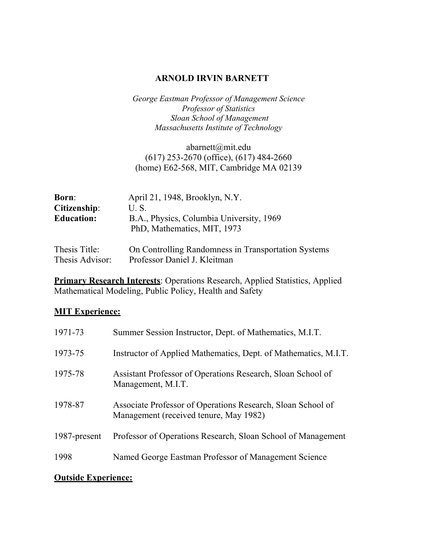### **ARNOLD IRVIN BARNETT**

*George Eastman Professor of Management Science Professor of Statistics Sloan School of Management Massachusetts Institute of Technology*

abarnett@mit.edu (617) 253-2670 (office), (617) 484-2660 (home) E62-568, MIT, Cambridge MA 02139

| <b>Born:</b>      | April 21, 1948, Brooklyn, N.Y.           |
|-------------------|------------------------------------------|
| Citizenship:      | U.S.                                     |
| <b>Education:</b> | B.A., Physics, Columbia University, 1969 |
|                   | PhD, Mathematics, MIT, 1973              |
|                   |                                          |

Thesis Title: On Controlling Randomness in Transportation Systems Thesis Advisor: Professor Daniel J. Kleitman

**Primary Research Interests**: Operations Research, Applied Statistics, Applied Mathematical Modeling, Public Policy, Health and Safety

### **MIT Experience:**

| 1971-73      | Summer Session Instructor, Dept. of Mathematics, M.I.T.                                               |
|--------------|-------------------------------------------------------------------------------------------------------|
| 1973-75      | Instructor of Applied Mathematics, Dept. of Mathematics, M.I.T.                                       |
| 1975-78      | Assistant Professor of Operations Research, Sloan School of<br>Management, M.I.T.                     |
| 1978-87      | Associate Professor of Operations Research, Sloan School of<br>Management (received tenure, May 1982) |
| 1987-present | Professor of Operations Research, Sloan School of Management                                          |
| 1998         | Named George Eastman Professor of Management Science                                                  |

#### **Outside Experience:**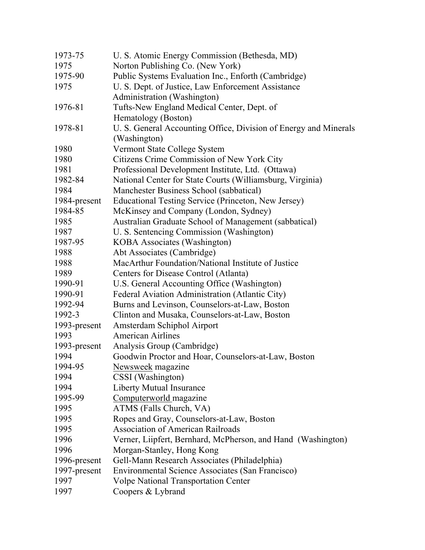| 1973-75      | U. S. Atomic Energy Commission (Bethesda, MD)                    |
|--------------|------------------------------------------------------------------|
| 1975         | Norton Publishing Co. (New York)                                 |
| 1975-90      | Public Systems Evaluation Inc., Enforth (Cambridge)              |
| 1975         | U. S. Dept. of Justice, Law Enforcement Assistance               |
|              | Administration (Washington)                                      |
| 1976-81      | Tufts-New England Medical Center, Dept. of                       |
|              | Hematology (Boston)                                              |
| 1978-81      | U. S. General Accounting Office, Division of Energy and Minerals |
|              | (Washington)                                                     |
| 1980         | Vermont State College System                                     |
| 1980         | Citizens Crime Commission of New York City                       |
| 1981         | Professional Development Institute, Ltd. (Ottawa)                |
| 1982-84      | National Center for State Courts (Williamsburg, Virginia)        |
| 1984         | Manchester Business School (sabbatical)                          |
| 1984-present | Educational Testing Service (Princeton, New Jersey)              |
| 1984-85      | McKinsey and Company (London, Sydney)                            |
| 1985         | Australian Graduate School of Management (sabbatical)            |
| 1987         | U. S. Sentencing Commission (Washington)                         |
| 1987-95      | <b>KOBA</b> Associates (Washington)                              |
| 1988         | Abt Associates (Cambridge)                                       |
| 1988         | MacArthur Foundation/National Institute of Justice               |
| 1989         | Centers for Disease Control (Atlanta)                            |
| 1990-91      | U.S. General Accounting Office (Washington)                      |
| 1990-91      | Federal Aviation Administration (Atlantic City)                  |
| 1992-94      | Burns and Levinson, Counselors-at-Law, Boston                    |
| 1992-3       | Clinton and Musaka, Counselors-at-Law, Boston                    |
| 1993-present | Amsterdam Schiphol Airport                                       |
| 1993         | <b>American Airlines</b>                                         |
| 1993-present | Analysis Group (Cambridge)                                       |
| 1994         | Goodwin Proctor and Hoar, Counselors-at-Law, Boston              |
| 1994-95      | Newsweek magazine                                                |
| 1994         | CSSI (Washington)                                                |
| 1994         | <b>Liberty Mutual Insurance</b>                                  |
| 1995-99      | Computerworld magazine                                           |
| 1995         | ATMS (Falls Church, VA)                                          |
| 1995         | Ropes and Gray, Counselors-at-Law, Boston                        |
| 1995         | <b>Association of American Railroads</b>                         |
| 1996         | Verner, Liipfert, Bernhard, McPherson, and Hand (Washington)     |
| 1996         | Morgan-Stanley, Hong Kong                                        |
| 1996-present | Gell-Mann Research Associates (Philadelphia)                     |
| 1997-present | Environmental Science Associates (San Francisco)                 |
| 1997         | Volpe National Transportation Center                             |
| 1997         | Coopers & Lybrand                                                |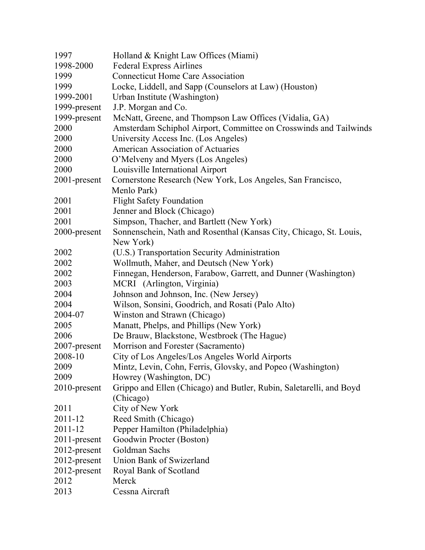| 1997         | Holland & Knight Law Offices (Miami)                                             |
|--------------|----------------------------------------------------------------------------------|
| 1998-2000    | <b>Federal Express Airlines</b>                                                  |
| 1999         | <b>Connecticut Home Care Association</b>                                         |
| 1999         | Locke, Liddell, and Sapp (Counselors at Law) (Houston)                           |
| 1999-2001    | Urban Institute (Washington)                                                     |
| 1999-present | J.P. Morgan and Co.                                                              |
| 1999-present | McNatt, Greene, and Thompson Law Offices (Vidalia, GA)                           |
| 2000         | Amsterdam Schiphol Airport, Committee on Crosswinds and Tailwinds                |
| 2000         | University Access Inc. (Los Angeles)                                             |
| 2000         | <b>American Association of Actuaries</b>                                         |
| 2000         | O'Melveny and Myers (Los Angeles)                                                |
| 2000         | Louisville International Airport                                                 |
| 2001-present | Cornerstone Research (New York, Los Angeles, San Francisco,                      |
|              | Menlo Park)                                                                      |
| 2001         | <b>Flight Safety Foundation</b>                                                  |
| 2001         | Jenner and Block (Chicago)                                                       |
| 2001         | Simpson, Thacher, and Bartlett (New York)                                        |
| 2000-present | Sonnenschein, Nath and Rosenthal (Kansas City, Chicago, St. Louis,               |
|              | New York)                                                                        |
| 2002         | (U.S.) Transportation Security Administration                                    |
| 2002         | Wollmuth, Maher, and Deutsch (New York)                                          |
| 2002         | Finnegan, Henderson, Farabow, Garrett, and Dunner (Washington)                   |
| 2003         | MCRI (Arlington, Virginia)                                                       |
| 2004         | Johnson and Johnson, Inc. (New Jersey)                                           |
| 2004         | Wilson, Sonsini, Goodrich, and Rosati (Palo Alto)                                |
| 2004-07      | Winston and Strawn (Chicago)                                                     |
| 2005         | Manatt, Phelps, and Phillips (New York)                                          |
| 2006         | De Brauw, Blackstone, Westbroek (The Hague)                                      |
| 2007-present | Morrison and Forester (Sacramento)                                               |
| 2008-10      | City of Los Angeles/Los Angeles World Airports                                   |
| 2009         | Mintz, Levin, Cohn, Ferris, Glovsky, and Popeo (Washington)                      |
| 2009         | Howrey (Washington, DC)                                                          |
| 2010-present | Grippo and Ellen (Chicago) and Butler, Rubin, Saletarelli, and Boyd<br>(Chicago) |
| 2011         | City of New York                                                                 |
| 2011-12      | Reed Smith (Chicago)                                                             |
| 2011-12      | Pepper Hamilton (Philadelphia)                                                   |
| 2011-present | Goodwin Procter (Boston)                                                         |
| 2012-present | Goldman Sachs                                                                    |
| 2012-present | Union Bank of Swizerland                                                         |
| 2012-present | Royal Bank of Scotland                                                           |
| 2012         | Merck                                                                            |
| 2013         | Cessna Aircraft                                                                  |
|              |                                                                                  |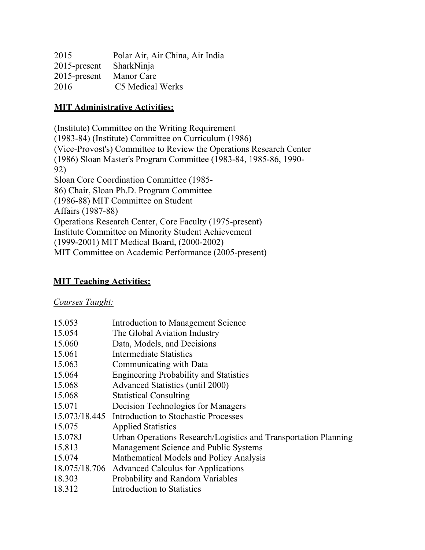| Polar Air, Air China, Air India |
|---------------------------------|
| 2015-present SharkNinja         |
| <b>Manor Care</b>               |
| C5 Medical Werks                |
|                                 |

## **MIT Administrative Activities:**

(Institute) Committee on the Writing Requirement (1983-84) (Institute) Committee on Curriculum (1986) (Vice-Provost's) Committee to Review the Operations Research Center (1986) Sloan Master's Program Committee (1983-84, 1985-86, 1990- 92) Sloan Core Coordination Committee (1985- 86) Chair, Sloan Ph.D. Program Committee (1986-88) MIT Committee on Student Affairs (1987-88) Operations Research Center, Core Faculty (1975-present) Institute Committee on Minority Student Achievement (1999-2001) MIT Medical Board, (2000-2002) MIT Committee on Academic Performance (2005-present)

# **MIT Teaching Activities:**

*Courses Taught:*

| Introduction to Management Science                              |
|-----------------------------------------------------------------|
| The Global Aviation Industry                                    |
| Data, Models, and Decisions                                     |
| Intermediate Statistics                                         |
| Communicating with Data                                         |
| <b>Engineering Probability and Statistics</b>                   |
| <b>Advanced Statistics (until 2000)</b>                         |
| <b>Statistical Consulting</b>                                   |
| Decision Technologies for Managers                              |
| 15.073/18.445 Introduction to Stochastic Processes              |
| <b>Applied Statistics</b>                                       |
| Urban Operations Research/Logistics and Transportation Planning |
| Management Science and Public Systems                           |
| Mathematical Models and Policy Analysis                         |
| <b>Advanced Calculus for Applications</b>                       |
| Probability and Random Variables                                |
| Introduction to Statistics                                      |
|                                                                 |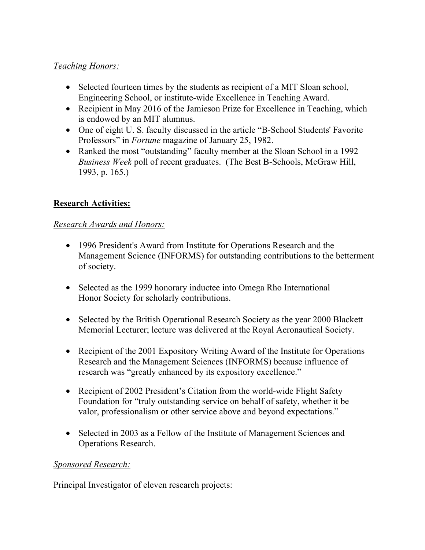# *Teaching Honors:*

- Selected fourteen times by the students as recipient of a MIT Sloan school, Engineering School, or institute-wide Excellence in Teaching Award.
- Recipient in May 2016 of the Jamieson Prize for Excellence in Teaching, which is endowed by an MIT alumnus.
- One of eight U. S. faculty discussed in the article "B-School Students' Favorite Professors" in *Fortune* magazine of January 25, 1982.
- Ranked the most "outstanding" faculty member at the Sloan School in a 1992 *Business Week* poll of recent graduates. (The Best B-Schools, McGraw Hill, 1993, p. 165.)

# **Research Activities:**

## *Research Awards and Honors:*

- 1996 President's Award from Institute for Operations Research and the Management Science (INFORMS) for outstanding contributions to the betterment of society.
- Selected as the 1999 honorary inductee into Omega Rho International Honor Society for scholarly contributions.
- Selected by the British Operational Research Society as the year 2000 Blackett Memorial Lecturer; lecture was delivered at the Royal Aeronautical Society.
- Recipient of the 2001 Expository Writing Award of the Institute for Operations Research and the Management Sciences (INFORMS) because influence of research was "greatly enhanced by its expository excellence."
- Recipient of 2002 President's Citation from the world-wide Flight Safety Foundation for "truly outstanding service on behalf of safety, whether it be valor, professionalism or other service above and beyond expectations."
- Selected in 2003 as a Fellow of the Institute of Management Sciences and Operations Research.

# *Sponsored Research:*

Principal Investigator of eleven research projects: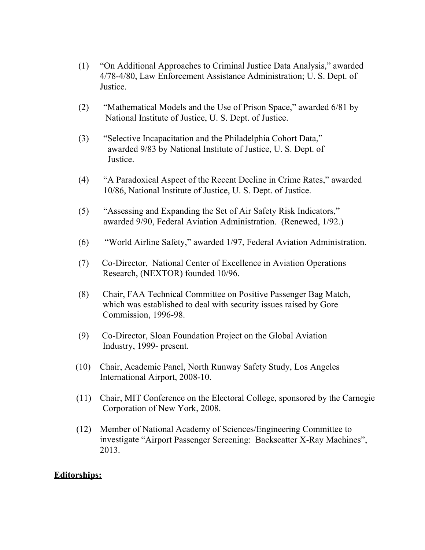- (1) "On Additional Approaches to Criminal Justice Data Analysis," awarded 4/78-4/80, Law Enforcement Assistance Administration; U. S. Dept. of Justice.
- (2) "Mathematical Models and the Use of Prison Space," awarded 6/81 by National Institute of Justice, U. S. Dept. of Justice.
- (3) "Selective Incapacitation and the Philadelphia Cohort Data," awarded 9/83 by National Institute of Justice, U. S. Dept. of Justice.
- (4) "A Paradoxical Aspect of the Recent Decline in Crime Rates," awarded 10/86, National Institute of Justice, U. S. Dept. of Justice.
- (5) "Assessing and Expanding the Set of Air Safety Risk Indicators," awarded 9/90, Federal Aviation Administration. (Renewed, 1/92.)
- (6) "World Airline Safety," awarded 1/97, Federal Aviation Administration.
- (7) Co-Director, National Center of Excellence in Aviation Operations Research, (NEXTOR) founded 10/96.
- (8) Chair, FAA Technical Committee on Positive Passenger Bag Match, which was established to deal with security issues raised by Gore Commission, 1996-98.
- (9) Co-Director, Sloan Foundation Project on the Global Aviation Industry, 1999- present.
- (10) Chair, Academic Panel, North Runway Safety Study, Los Angeles International Airport, 2008-10.
- (11) Chair, MIT Conference on the Electoral College, sponsored by the Carnegie Corporation of New York, 2008.
- (12) Member of National Academy of Sciences/Engineering Committee to investigate "Airport Passenger Screening: Backscatter X-Ray Machines", 2013.

### **Editorships:**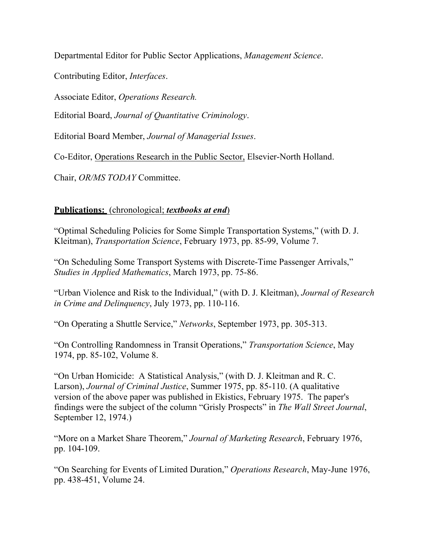Departmental Editor for Public Sector Applications, *Management Science*.

Contributing Editor, *Interfaces*.

Associate Editor, *Operations Research.*

Editorial Board, *Journal of Quantitative Criminology*.

Editorial Board Member, *Journal of Managerial Issues*.

Co-Editor, Operations Research in the Public Sector, Elsevier-North Holland.

Chair, *OR/MS TODAY* Committee.

## **Publications:** (chronological; *textbooks at end*)

"Optimal Scheduling Policies for Some Simple Transportation Systems," (with D. J. Kleitman), *Transportation Science*, February 1973, pp. 85-99, Volume 7.

"On Scheduling Some Transport Systems with Discrete-Time Passenger Arrivals," *Studies in Applied Mathematics*, March 1973, pp. 75-86.

"Urban Violence and Risk to the Individual," (with D. J. Kleitman), *Journal of Research in Crime and Delinquency*, July 1973, pp. 110-116.

"On Operating a Shuttle Service," *Networks*, September 1973, pp. 305-313.

"On Controlling Randomness in Transit Operations," *Transportation Science*, May 1974, pp. 85-102, Volume 8.

"On Urban Homicide: A Statistical Analysis," (with D. J. Kleitman and R. C. Larson), *Journal of Criminal Justice*, Summer 1975, pp. 85-110. (A qualitative version of the above paper was published in Ekistics, February 1975. The paper's findings were the subject of the column "Grisly Prospects" in *The Wall Street Journal*, September 12, 1974.)

"More on a Market Share Theorem," *Journal of Marketing Research*, February 1976, pp. 104-109.

"On Searching for Events of Limited Duration," *Operations Research*, May-June 1976, pp. 438-451, Volume 24.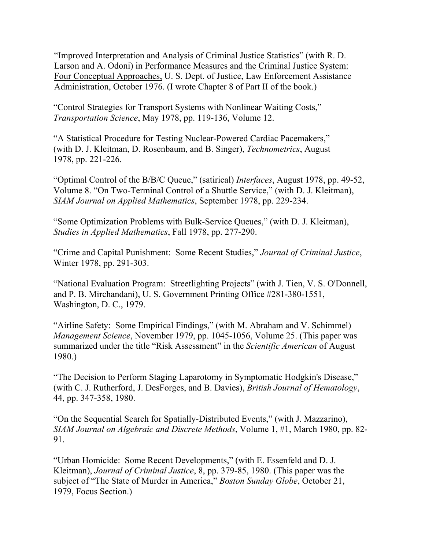"Improved Interpretation and Analysis of Criminal Justice Statistics" (with R. D. Larson and A. Odoni) in Performance Measures and the Criminal Justice System: Four Conceptual Approaches, U. S. Dept. of Justice, Law Enforcement Assistance Administration, October 1976. (I wrote Chapter 8 of Part II of the book.)

"Control Strategies for Transport Systems with Nonlinear Waiting Costs," *Transportation Science*, May 1978, pp. 119-136, Volume 12.

"A Statistical Procedure for Testing Nuclear-Powered Cardiac Pacemakers," (with D. J. Kleitman, D. Rosenbaum, and B. Singer), *Technometrics*, August 1978, pp. 221-226.

"Optimal Control of the B/B/C Queue," (satirical) *Interfaces*, August 1978, pp. 49-52, Volume 8. "On Two-Terminal Control of a Shuttle Service," (with D. J. Kleitman), *SIAM Journal on Applied Mathematics*, September 1978, pp. 229-234.

"Some Optimization Problems with Bulk-Service Queues," (with D. J. Kleitman), *Studies in Applied Mathematics*, Fall 1978, pp. 277-290.

"Crime and Capital Punishment: Some Recent Studies," *Journal of Criminal Justice*, Winter 1978, pp. 291-303.

"National Evaluation Program: Streetlighting Projects" (with J. Tien, V. S. O'Donnell, and P. B. Mirchandani), U. S. Government Printing Office #281-380-1551, Washington, D. C., 1979.

"Airline Safety: Some Empirical Findings," (with M. Abraham and V. Schimmel) *Management Science*, November 1979, pp. 1045-1056, Volume 25. (This paper was summarized under the title "Risk Assessment" in the *Scientific American* of August 1980.)

"The Decision to Perform Staging Laparotomy in Symptomatic Hodgkin's Disease," (with C. J. Rutherford, J. DesForges, and B. Davies), *British Journal of Hematology*, 44, pp. 347-358, 1980.

"On the Sequential Search for Spatially-Distributed Events," (with J. Mazzarino), *SIAM Journal on Algebraic and Discrete Methods*, Volume 1, #1, March 1980, pp. 82- 91.

"Urban Homicide: Some Recent Developments," (with E. Essenfeld and D. J. Kleitman), *Journal of Criminal Justice*, 8, pp. 379-85, 1980. (This paper was the subject of "The State of Murder in America," *Boston Sunday Globe*, October 21, 1979, Focus Section.)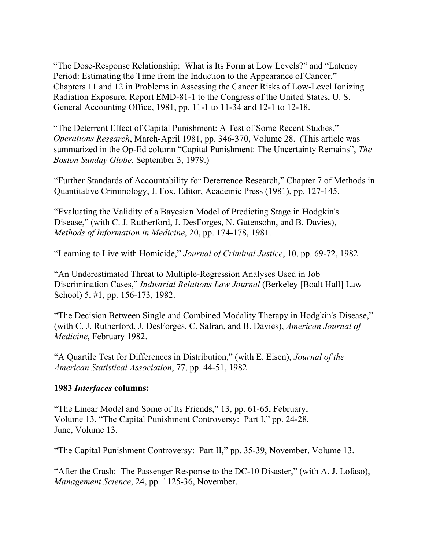"The Dose-Response Relationship: What is Its Form at Low Levels?" and "Latency Period: Estimating the Time from the Induction to the Appearance of Cancer," Chapters 11 and 12 in Problems in Assessing the Cancer Risks of Low-Level Ionizing Radiation Exposure, Report EMD-81-1 to the Congress of the United States, U. S. General Accounting Office, 1981, pp. 11-1 to 11-34 and 12-1 to 12-18.

"The Deterrent Effect of Capital Punishment: A Test of Some Recent Studies," *Operations Research*, March-April 1981, pp. 346-370, Volume 28. (This article was summarized in the Op-Ed column "Capital Punishment: The Uncertainty Remains", *The Boston Sunday Globe*, September 3, 1979.)

"Further Standards of Accountability for Deterrence Research," Chapter 7 of Methods in Quantitative Criminology, J. Fox, Editor, Academic Press (1981), pp. 127-145.

"Evaluating the Validity of a Bayesian Model of Predicting Stage in Hodgkin's Disease," (with C. J. Rutherford, J. DesForges, N. Gutensohn, and B. Davies), *Methods of Information in Medicine*, 20, pp. 174-178, 1981.

"Learning to Live with Homicide," *Journal of Criminal Justice*, 10, pp. 69-72, 1982.

"An Underestimated Threat to Multiple-Regression Analyses Used in Job Discrimination Cases," *Industrial Relations Law Journal* (Berkeley [Boalt Hall] Law School) 5, #1, pp. 156-173, 1982.

"The Decision Between Single and Combined Modality Therapy in Hodgkin's Disease," (with C. J. Rutherford, J. DesForges, C. Safran, and B. Davies), *American Journal of Medicine*, February 1982.

"A Quartile Test for Differences in Distribution," (with E. Eisen), *Journal of the American Statistical Association*, 77, pp. 44-51, 1982.

### **1983** *Interfaces* **columns:**

"The Linear Model and Some of Its Friends," 13, pp. 61-65, February, Volume 13. "The Capital Punishment Controversy: Part I," pp. 24-28, June, Volume 13.

"The Capital Punishment Controversy: Part II," pp. 35-39, November, Volume 13.

"After the Crash: The Passenger Response to the DC-10 Disaster," (with A. J. Lofaso), *Management Science*, 24, pp. 1125-36, November.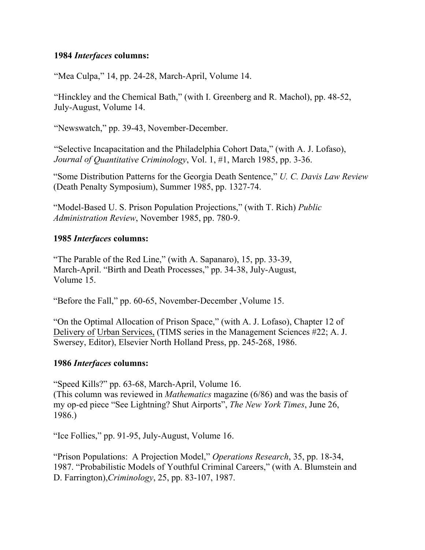#### **1984** *Interfaces* **columns:**

"Mea Culpa," 14, pp. 24-28, March-April, Volume 14.

"Hinckley and the Chemical Bath," (with I. Greenberg and R. Machol), pp. 48-52, July-August, Volume 14.

"Newswatch," pp. 39-43, November-December.

"Selective Incapacitation and the Philadelphia Cohort Data," (with A. J. Lofaso), *Journal of Quantitative Criminology*, Vol. 1, #1, March 1985, pp. 3-36.

"Some Distribution Patterns for the Georgia Death Sentence," *U. C. Davis Law Review* (Death Penalty Symposium), Summer 1985, pp. 1327-74.

"Model-Based U. S. Prison Population Projections," (with T. Rich) *Public Administration Review*, November 1985, pp. 780-9.

### **1985** *Interfaces* **columns:**

"The Parable of the Red Line," (with A. Sapanaro), 15, pp. 33-39, March-April. "Birth and Death Processes," pp. 34-38, July-August, Volume 15.

"Before the Fall," pp. 60-65, November-December ,Volume 15.

"On the Optimal Allocation of Prison Space," (with A. J. Lofaso), Chapter 12 of Delivery of Urban Services, (TIMS series in the Management Sciences #22; A. J. Swersey, Editor), Elsevier North Holland Press, pp. 245-268, 1986.

### **1986** *Interfaces* **columns:**

"Speed Kills?" pp. 63-68, March-April, Volume 16. (This column was reviewed in *Mathematics* magazine (6/86) and was the basis of my op-ed piece "See Lightning? Shut Airports", *The New York Times*, June 26, 1986.)

"Ice Follies," pp. 91-95, July-August, Volume 16.

"Prison Populations: A Projection Model," *Operations Research*, 35, pp. 18-34, 1987. "Probabilistic Models of Youthful Criminal Careers," (with A. Blumstein and D. Farrington),*Criminology*, 25, pp. 83-107, 1987.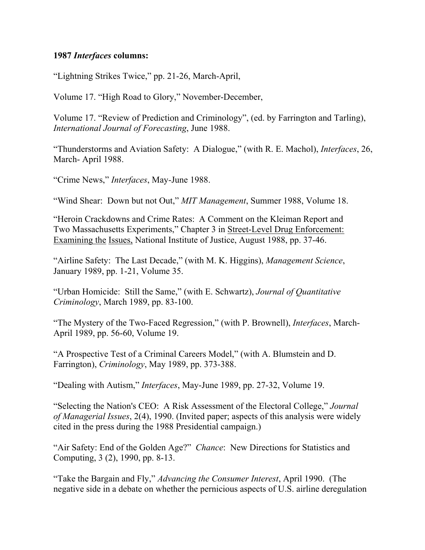#### **1987** *Interfaces* **columns:**

"Lightning Strikes Twice," pp. 21-26, March-April,

Volume 17. "High Road to Glory," November-December,

Volume 17. "Review of Prediction and Criminology", (ed. by Farrington and Tarling), *International Journal of Forecasting*, June 1988.

"Thunderstorms and Aviation Safety: A Dialogue," (with R. E. Machol), *Interfaces*, 26, March- April 1988.

"Crime News," *Interfaces*, May-June 1988.

"Wind Shear: Down but not Out," *MIT Management*, Summer 1988, Volume 18.

"Heroin Crackdowns and Crime Rates: A Comment on the Kleiman Report and Two Massachusetts Experiments," Chapter 3 in Street-Level Drug Enforcement: Examining the Issues, National Institute of Justice, August 1988, pp. 37-46.

"Airline Safety: The Last Decade," (with M. K. Higgins), *Management Science*, January 1989, pp. 1-21, Volume 35.

"Urban Homicide: Still the Same," (with E. Schwartz), *Journal of Quantitative Criminology*, March 1989, pp. 83-100.

"The Mystery of the Two-Faced Regression," (with P. Brownell), *Interfaces*, March-April 1989, pp. 56-60, Volume 19.

"A Prospective Test of a Criminal Careers Model," (with A. Blumstein and D. Farrington), *Criminology*, May 1989, pp. 373-388.

"Dealing with Autism," *Interfaces*, May-June 1989, pp. 27-32, Volume 19.

"Selecting the Nation's CEO: A Risk Assessment of the Electoral College," *Journal of Managerial Issues*, 2(4), 1990. (Invited paper; aspects of this analysis were widely cited in the press during the 1988 Presidential campaign.)

"Air Safety: End of the Golden Age?" *Chance*: New Directions for Statistics and Computing, 3 (2), 1990, pp. 8-13.

"Take the Bargain and Fly," *Advancing the Consumer Interest*, April 1990. (The negative side in a debate on whether the pernicious aspects of U.S. airline deregulation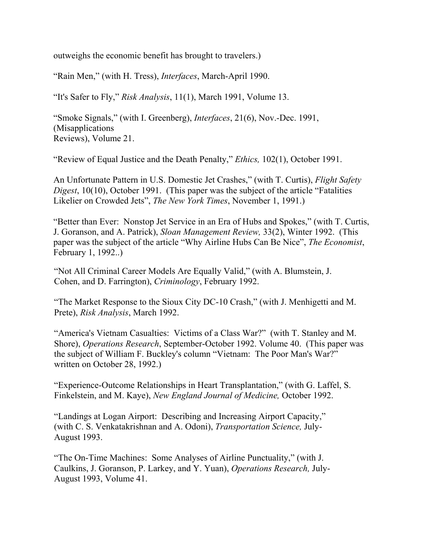outweighs the economic benefit has brought to travelers.)

"Rain Men," (with H. Tress), *Interfaces*, March-April 1990.

"It's Safer to Fly," *Risk Analysis*, 11(1), March 1991, Volume 13.

"Smoke Signals," (with I. Greenberg), *Interfaces*, 21(6), Nov.-Dec. 1991, (Misapplications Reviews), Volume 21.

"Review of Equal Justice and the Death Penalty," *Ethics,* 102(1), October 1991.

An Unfortunate Pattern in U.S. Domestic Jet Crashes," (with T. Curtis), *Flight Safety Digest*, 10(10), October 1991. (This paper was the subject of the article "Fatalities Likelier on Crowded Jets", *The New York Times*, November 1, 1991.)

"Better than Ever: Nonstop Jet Service in an Era of Hubs and Spokes," (with T. Curtis, J. Goranson, and A. Patrick), *Sloan Management Review,* 33(2), Winter 1992. (This paper was the subject of the article "Why Airline Hubs Can Be Nice", *The Economist*, February 1, 1992..)

"Not All Criminal Career Models Are Equally Valid," (with A. Blumstein, J. Cohen, and D. Farrington), *Criminology*, February 1992.

"The Market Response to the Sioux City DC-10 Crash," (with J. Menhigetti and M. Prete), *Risk Analysis*, March 1992.

"America's Vietnam Casualties: Victims of a Class War?" (with T. Stanley and M. Shore), *Operations Research*, September-October 1992. Volume 40. (This paper was the subject of William F. Buckley's column "Vietnam: The Poor Man's War?" written on October 28, 1992.)

"Experience-Outcome Relationships in Heart Transplantation," (with G. Laffel, S. Finkelstein, and M. Kaye), *New England Journal of Medicine,* October 1992.

"Landings at Logan Airport: Describing and Increasing Airport Capacity," (with C. S. Venkatakrishnan and A. Odoni), *Transportation Science,* July-August 1993.

"The On-Time Machines: Some Analyses of Airline Punctuality," (with J. Caulkins, J. Goranson, P. Larkey, and Y. Yuan), *Operations Research,* July-August 1993, Volume 41.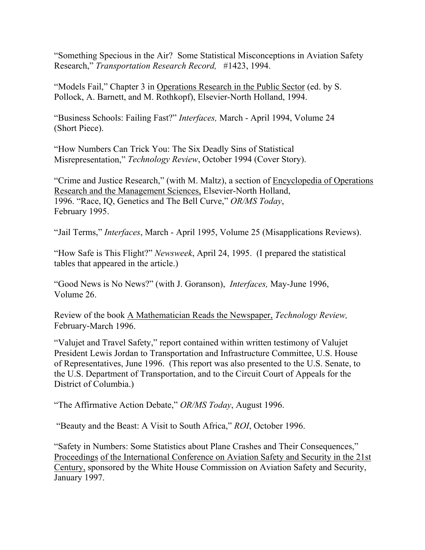"Something Specious in the Air? Some Statistical Misconceptions in Aviation Safety Research," *Transportation Research Record,* #1423, 1994.

"Models Fail," Chapter 3 in Operations Research in the Public Sector (ed. by S. Pollock, A. Barnett, and M. Rothkopf), Elsevier-North Holland, 1994.

"Business Schools: Failing Fast?" *Interfaces,* March - April 1994, Volume 24 (Short Piece).

"How Numbers Can Trick You: The Six Deadly Sins of Statistical Misrepresentation," *Technology Review*, October 1994 (Cover Story).

"Crime and Justice Research," (with M. Maltz), a section of Encyclopedia of Operations Research and the Management Sciences, Elsevier-North Holland, 1996. "Race, IQ, Genetics and The Bell Curve," *OR/MS Today*, February 1995.

"Jail Terms," *Interfaces*, March - April 1995, Volume 25 (Misapplications Reviews).

"How Safe is This Flight?" *Newsweek*, April 24, 1995. (I prepared the statistical tables that appeared in the article.)

"Good News is No News?" (with J. Goranson), *Interfaces,* May-June 1996, Volume 26.

Review of the book A Mathematician Reads the Newspaper, *Technology Review,*  February-March 1996.

"Valujet and Travel Safety," report contained within written testimony of Valujet President Lewis Jordan to Transportation and Infrastructure Committee, U.S. House of Representatives, June 1996. (This report was also presented to the U.S. Senate, to the U.S. Department of Transportation, and to the Circuit Court of Appeals for the District of Columbia.)

"The Affirmative Action Debate," *OR/MS Today*, August 1996.

"Beauty and the Beast: A Visit to South Africa," *ROI*, October 1996.

"Safety in Numbers: Some Statistics about Plane Crashes and Their Consequences," Proceedings of the International Conference on Aviation Safety and Security in the 21st Century, sponsored by the White House Commission on Aviation Safety and Security, January 1997.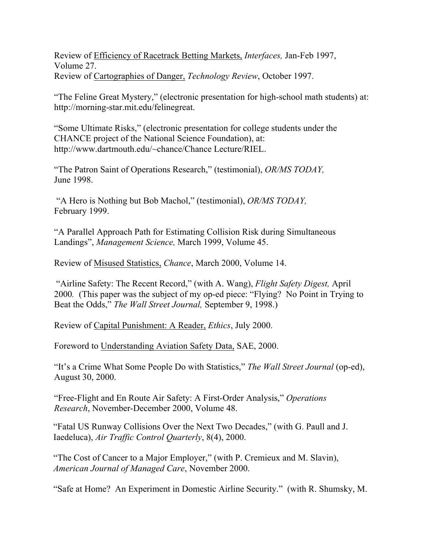Review of Efficiency of Racetrack Betting Markets, *Interfaces,* Jan-Feb 1997, Volume 27. Review of Cartographies of Danger, *Technology Review*, October 1997.

"The Feline Great Mystery," (electronic presentation for high-school math students) at: http://morning-star.mit.edu/felinegreat.

"Some Ultimate Risks," (electronic presentation for college students under the CHANCE project of the National Science Foundation), at: http://www.dartmouth.edu/~chance/Chance Lecture/RIEL.

"The Patron Saint of Operations Research," (testimonial), *OR/MS TODAY,*  June 1998.

"A Hero is Nothing but Bob Machol," (testimonial), *OR/MS TODAY,* February 1999.

"A Parallel Approach Path for Estimating Collision Risk during Simultaneous Landings", *Management Science,* March 1999, Volume 45.

Review of Misused Statistics, *Chance*, March 2000, Volume 14.

"Airline Safety: The Recent Record," (with A. Wang), *Flight Safety Digest,* April 2000*.* (This paper was the subject of my op-ed piece: "Flying? No Point in Trying to Beat the Odds," *The Wall Street Journal,* September 9, 1998.)

Review of Capital Punishment: A Reader, *Ethics*, July 2000.

Foreword to Understanding Aviation Safety Data, SAE, 2000.

"It's a Crime What Some People Do with Statistics," *The Wall Street Journal* (op-ed), August 30, 2000.

"Free-Flight and En Route Air Safety: A First-Order Analysis," *Operations Research*, November-December 2000, Volume 48.

"Fatal US Runway Collisions Over the Next Two Decades," (with G. Paull and J. Iaedeluca), *Air Traffic Control Quarterly*, 8(4), 2000.

"The Cost of Cancer to a Major Employer," (with P. Cremieux and M. Slavin), *American Journal of Managed Care*, November 2000.

"Safe at Home? An Experiment in Domestic Airline Security." (with R. Shumsky, M.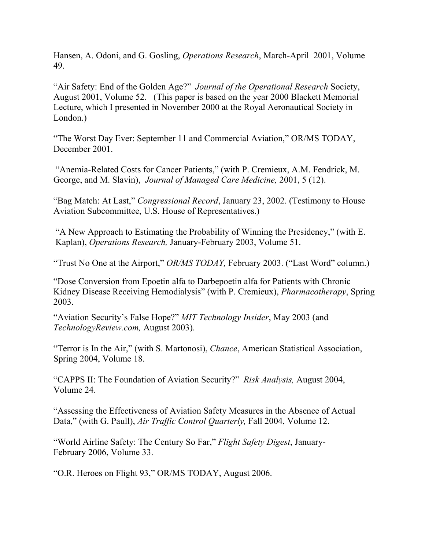Hansen, A. Odoni, and G. Gosling, *Operations Research*, March-April 2001, Volume 49.

"Air Safety: End of the Golden Age?" *Journal of the Operational Research* Society, August 2001, Volume 52. (This paper is based on the year 2000 Blackett Memorial Lecture, which I presented in November 2000 at the Royal Aeronautical Society in London.)

"The Worst Day Ever: September 11 and Commercial Aviation," OR/MS TODAY, December 2001.

"Anemia-Related Costs for Cancer Patients," (with P. Cremieux, A.M. Fendrick, M. George, and M. Slavin), *Journal of Managed Care Medicine,* 2001, 5 (12).

"Bag Match: At Last," *Congressional Record*, January 23, 2002. (Testimony to House Aviation Subcommittee, U.S. House of Representatives.)

"A New Approach to Estimating the Probability of Winning the Presidency," (with E. Kaplan), *Operations Research,* January-February 2003, Volume 51.

"Trust No One at the Airport," *OR/MS TODAY,* February 2003. ("Last Word" column.)

"Dose Conversion from Epoetin alfa to Darbepoetin alfa for Patients with Chronic Kidney Disease Receiving Hemodialysis" (with P. Cremieux), *Pharmacotherapy*, Spring 2003.

"Aviation Security's False Hope?" *MIT Technology Insider*, May 2003 (and *TechnologyReview.com,* August 2003).

"Terror is In the Air," (with S. Martonosi), *Chance*, American Statistical Association, Spring 2004, Volume 18.

"CAPPS II: The Foundation of Aviation Security?" *Risk Analysis,* August 2004, Volume 24.

"Assessing the Effectiveness of Aviation Safety Measures in the Absence of Actual Data," (with G. Paull), *Air Traffic Control Quarterly,* Fall 2004, Volume 12.

"World Airline Safety: The Century So Far," *Flight Safety Digest*, January-February 2006, Volume 33.

"O.R. Heroes on Flight 93," OR/MS TODAY, August 2006.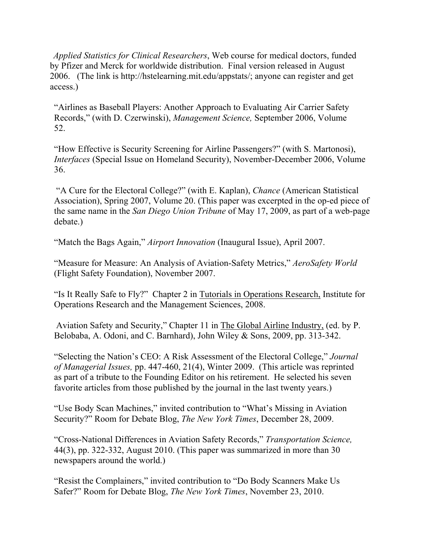*Applied Statistics for Clinical Researchers*, Web course for medical doctors, funded by Pfizer and Merck for worldwide distribution. Final version released in August 2006. (The link is http://hstelearning.mit.edu/appstats/; anyone can register and get access.)

"Airlines as Baseball Players: Another Approach to Evaluating Air Carrier Safety Records," (with D. Czerwinski), *Management Science,* September 2006, Volume 52.

"How Effective is Security Screening for Airline Passengers?" (with S. Martonosi), *Interfaces* (Special Issue on Homeland Security), November-December 2006, Volume 36.

"A Cure for the Electoral College?" (with E. Kaplan), *Chance* (American Statistical Association), Spring 2007, Volume 20. (This paper was excerpted in the op-ed piece of the same name in the *San Diego Union Tribune* of May 17, 2009, as part of a web-page debate.)

"Match the Bags Again," *Airport Innovation* (Inaugural Issue), April 2007.

"Measure for Measure: An Analysis of Aviation-Safety Metrics," *AeroSafety World* (Flight Safety Foundation), November 2007.

"Is It Really Safe to Fly?" Chapter 2 in Tutorials in Operations Research, Institute for Operations Research and the Management Sciences, 2008.

Aviation Safety and Security," Chapter 11 in The Global Airline Industry, (ed. by P. Belobaba, A. Odoni, and C. Barnhard), John Wiley & Sons, 2009, pp. 313-342.

"Selecting the Nation's CEO: A Risk Assessment of the Electoral College," *Journal of Managerial Issues,* pp. 447-460, 21(4), Winter 2009. (This article was reprinted as part of a tribute to the Founding Editor on his retirement. He selected his seven favorite articles from those published by the journal in the last twenty years.)

"Use Body Scan Machines," invited contribution to "What's Missing in Aviation Security?" Room for Debate Blog, *The New York Times*, December 28, 2009.

"Cross-National Differences in Aviation Safety Records," *Transportation Science,*  44(3), pp. 322-332, August 2010. (This paper was summarized in more than 30 newspapers around the world.)

"Resist the Complainers," invited contribution to "Do Body Scanners Make Us Safer?" Room for Debate Blog, *The New York Times*, November 23, 2010.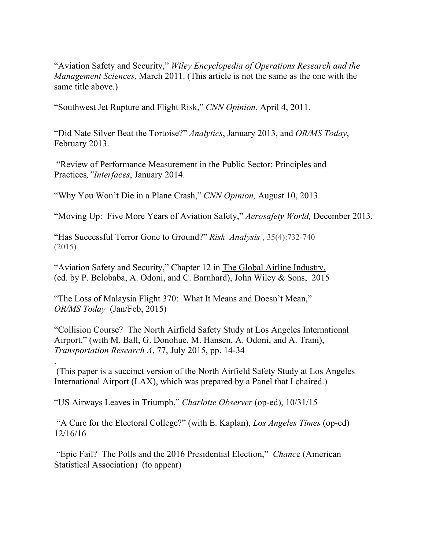"Aviation Safety and Security," *Wiley Encyclopedia of Operations Research and the Management Sciences*, March 2011. (This article is not the same as the one with the same title above.)

"Southwest Jet Rupture and Flight Risk," *CNN Opinion*, April 4, 2011.

"Did Nate Silver Beat the Tortoise?" *Analytics*, January 2013, and *OR/MS Today*, February 2013.

"Review of Performance Measurement in the Public Sector: Principles and Practices*,"Interfaces*, January 2014.

"Why You Won't Die in a Plane Crash," *CNN Opinion,* August 10, 2013.

"Moving Up: Five More Years of Aviation Safety," *Aerosafety World,* December 2013.

"Has Successful Terror Gone to Ground?" *Risk Analysis* , 35(4):732-740 (2015)

"Aviation Safety and Security," Chapter 12 in The Global Airline Industry, (ed. by P. Belobaba, A. Odoni, and C. Barnhard), John Wiley & Sons, 2015

"The Loss of Malaysia Flight 370: What It Means and Doesn't Mean," *OR/MS Today* (Jan/Feb, 2015)

"Collision Course? The North Airfield Safety Study at Los Angeles International Airport," (with M. Ball, G. Donohue, M. Hansen, A. Odoni, and A. Trani), *Transportation Research A*, 77, July 2015, pp. 14-34

. (This paper is a succinct version of the North Airfield Safety Study at Los Angeles International Airport (LAX), which was prepared by a Panel that I chaired.)

"US Airways Leaves in Triumph," *Charlotte Observer* (op-ed), 10/31/15

"A Cure for the Electoral College?" (with E. Kaplan), *Los Angeles Times* (op-ed) 12/16/16

"Epic Fail? The Polls and the 2016 Presidential Election," *Chanc*e (American Statistical Association) (to appear)